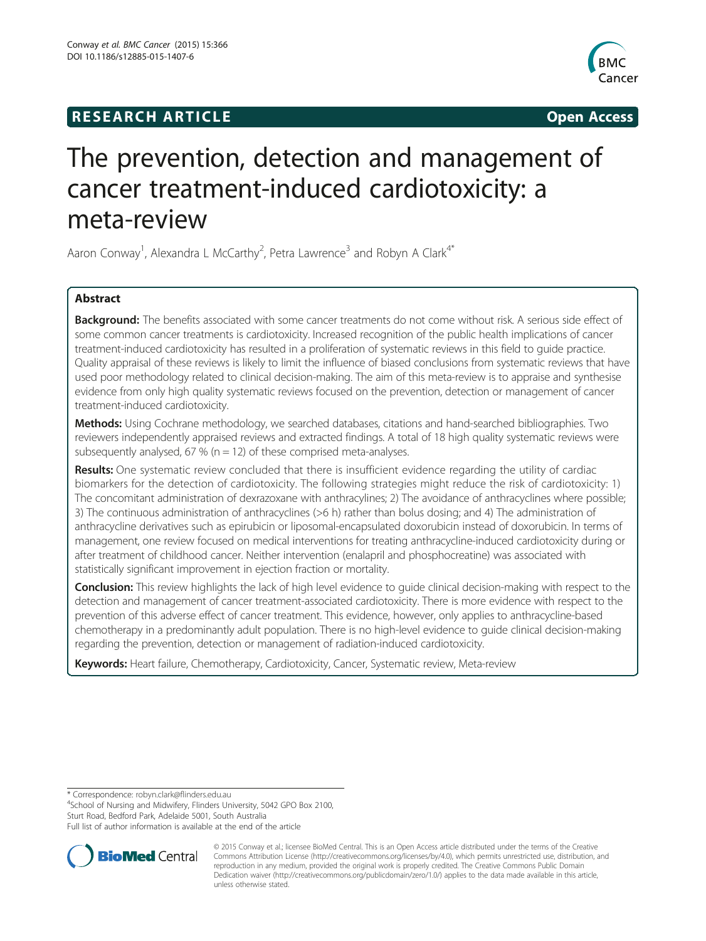## **RESEARCH ARTICLE Example 2014 CONSIDERING CONSIDERING CONSIDERING CONSIDERING CONSIDERING CONSIDERING CONSIDERING CONSIDERING CONSIDERING CONSIDERING CONSIDERING CONSIDERING CONSIDERING CONSIDERING CONSIDERING CONSIDE**



# The prevention, detection and management of cancer treatment-induced cardiotoxicity: a meta-review

Aaron Conway<sup>1</sup>, Alexandra L McCarthy<sup>2</sup>, Petra Lawrence<sup>3</sup> and Robyn A Clark<sup>4\*</sup>

## Abstract

Background: The benefits associated with some cancer treatments do not come without risk. A serious side effect of some common cancer treatments is cardiotoxicity. Increased recognition of the public health implications of cancer treatment-induced cardiotoxicity has resulted in a proliferation of systematic reviews in this field to guide practice. Quality appraisal of these reviews is likely to limit the influence of biased conclusions from systematic reviews that have used poor methodology related to clinical decision-making. The aim of this meta-review is to appraise and synthesise evidence from only high quality systematic reviews focused on the prevention, detection or management of cancer treatment-induced cardiotoxicity.

Methods: Using Cochrane methodology, we searched databases, citations and hand-searched bibliographies. Two reviewers independently appraised reviews and extracted findings. A total of 18 high quality systematic reviews were subsequently analysed, 67 % ( $n = 12$ ) of these comprised meta-analyses.

Results: One systematic review concluded that there is insufficient evidence regarding the utility of cardiac biomarkers for the detection of cardiotoxicity. The following strategies might reduce the risk of cardiotoxicity: 1) The concomitant administration of dexrazoxane with anthracylines; 2) The avoidance of anthracyclines where possible; 3) The continuous administration of anthracyclines (>6 h) rather than bolus dosing; and 4) The administration of anthracycline derivatives such as epirubicin or liposomal-encapsulated doxorubicin instead of doxorubicin. In terms of management, one review focused on medical interventions for treating anthracycline-induced cardiotoxicity during or after treatment of childhood cancer. Neither intervention (enalapril and phosphocreatine) was associated with statistically significant improvement in ejection fraction or mortality.

Conclusion: This review highlights the lack of high level evidence to quide clinical decision-making with respect to the detection and management of cancer treatment-associated cardiotoxicity. There is more evidence with respect to the prevention of this adverse effect of cancer treatment. This evidence, however, only applies to anthracycline-based chemotherapy in a predominantly adult population. There is no high-level evidence to guide clinical decision-making regarding the prevention, detection or management of radiation-induced cardiotoxicity.

Keywords: Heart failure, Chemotherapy, Cardiotoxicity, Cancer, Systematic review, Meta-review

\* Correspondence: [robyn.clark@flinders.edu.au](mailto:robyn.clark@flinders.edu.au) <sup>4</sup>

<sup>4</sup>School of Nursing and Midwifery, Flinders University, 5042 GPO Box 2100, Sturt Road, Bedford Park, Adelaide 5001, South Australia

Full list of author information is available at the end of the article



© 2015 Conway et al.; licensee BioMed Central. This is an Open Access article distributed under the terms of the Creative Commons Attribution License [\(http://creativecommons.org/licenses/by/4.0\)](http://creativecommons.org/licenses/by/4.0), which permits unrestricted use, distribution, and reproduction in any medium, provided the original work is properly credited. The Creative Commons Public Domain Dedication waiver [\(http://creativecommons.org/publicdomain/zero/1.0/](http://creativecommons.org/publicdomain/zero/1.0/)) applies to the data made available in this article, unless otherwise stated.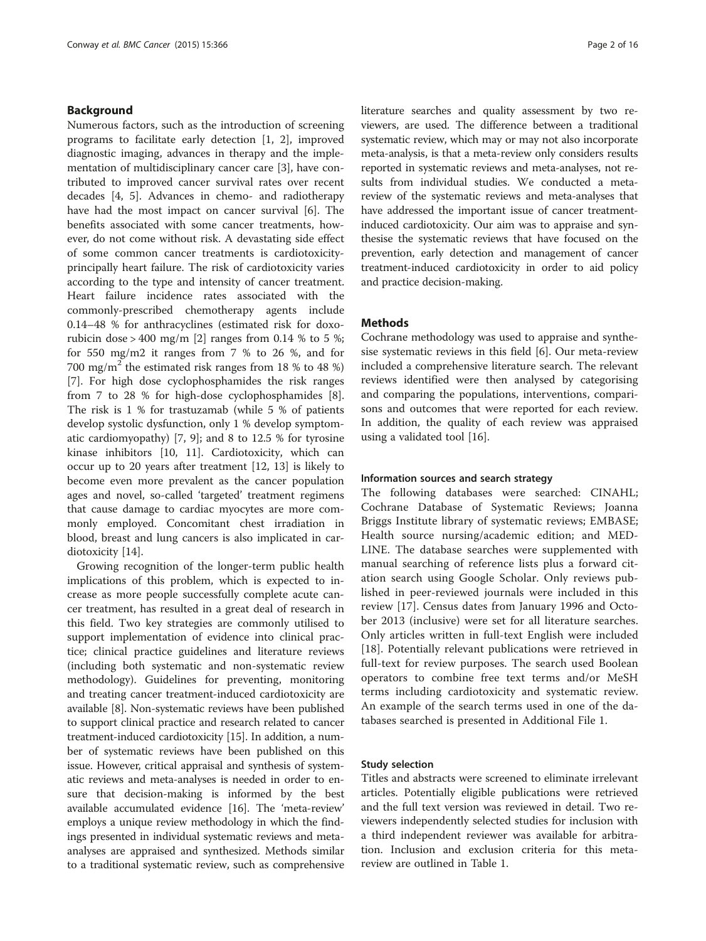## Background

Numerous factors, such as the introduction of screening programs to facilitate early detection [\[1](#page-15-0), [2](#page-15-0)], improved diagnostic imaging, advances in therapy and the implementation of multidisciplinary cancer care [\[3\]](#page-15-0), have contributed to improved cancer survival rates over recent decades [\[4, 5](#page-15-0)]. Advances in chemo- and radiotherapy have had the most impact on cancer survival [[6\]](#page-15-0). The benefits associated with some cancer treatments, however, do not come without risk. A devastating side effect of some common cancer treatments is cardiotoxicityprincipally heart failure. The risk of cardiotoxicity varies according to the type and intensity of cancer treatment. Heart failure incidence rates associated with the commonly-prescribed chemotherapy agents include 0.14–48 % for anthracyclines (estimated risk for doxo-rubicin dose > 400 mg/m [\[2](#page-15-0)] ranges from 0.14 % to 5 %; for 550 mg/m2 it ranges from 7 % to 26 %, and for 700 mg/m<sup>2</sup> the estimated risk ranges from 18 % to 48 %) [[7\]](#page-15-0). For high dose cyclophosphamides the risk ranges from 7 to 28 % for high-dose cyclophosphamides [\[8](#page-15-0)]. The risk is 1 % for trastuzamab (while 5 % of patients develop systolic dysfunction, only 1 % develop symptomatic cardiomyopathy) [[7, 9](#page-15-0)]; and 8 to 12.5 % for tyrosine kinase inhibitors [\[10, 11\]](#page-15-0). Cardiotoxicity, which can occur up to 20 years after treatment [\[12](#page-15-0), [13\]](#page-15-0) is likely to become even more prevalent as the cancer population ages and novel, so-called 'targeted' treatment regimens that cause damage to cardiac myocytes are more commonly employed. Concomitant chest irradiation in blood, breast and lung cancers is also implicated in cardiotoxicity [[14\]](#page-15-0).

Growing recognition of the longer-term public health implications of this problem, which is expected to increase as more people successfully complete acute cancer treatment, has resulted in a great deal of research in this field. Two key strategies are commonly utilised to support implementation of evidence into clinical practice; clinical practice guidelines and literature reviews (including both systematic and non-systematic review methodology). Guidelines for preventing, monitoring and treating cancer treatment-induced cardiotoxicity are available [[8\]](#page-15-0). Non-systematic reviews have been published to support clinical practice and research related to cancer treatment-induced cardiotoxicity [\[15\]](#page-15-0). In addition, a number of systematic reviews have been published on this issue. However, critical appraisal and synthesis of systematic reviews and meta-analyses is needed in order to ensure that decision-making is informed by the best available accumulated evidence [[16](#page-15-0)]. The 'meta-review' employs a unique review methodology in which the findings presented in individual systematic reviews and metaanalyses are appraised and synthesized. Methods similar to a traditional systematic review, such as comprehensive literature searches and quality assessment by two reviewers, are used. The difference between a traditional systematic review, which may or may not also incorporate meta-analysis, is that a meta-review only considers results reported in systematic reviews and meta-analyses, not results from individual studies. We conducted a metareview of the systematic reviews and meta-analyses that have addressed the important issue of cancer treatmentinduced cardiotoxicity. Our aim was to appraise and synthesise the systematic reviews that have focused on the prevention, early detection and management of cancer treatment-induced cardiotoxicity in order to aid policy and practice decision-making.

## **Methods**

Cochrane methodology was used to appraise and synthesise systematic reviews in this field [[6\]](#page-15-0). Our meta-review included a comprehensive literature search. The relevant reviews identified were then analysed by categorising and comparing the populations, interventions, comparisons and outcomes that were reported for each review. In addition, the quality of each review was appraised using a validated tool [\[16\]](#page-15-0).

## Information sources and search strategy

The following databases were searched: CINAHL; Cochrane Database of Systematic Reviews; Joanna Briggs Institute library of systematic reviews; EMBASE; Health source nursing/academic edition; and MED-LINE. The database searches were supplemented with manual searching of reference lists plus a forward citation search using Google Scholar. Only reviews published in peer-reviewed journals were included in this review [\[17](#page-15-0)]. Census dates from January 1996 and October 2013 (inclusive) were set for all literature searches. Only articles written in full-text English were included [[18\]](#page-15-0). Potentially relevant publications were retrieved in full-text for review purposes. The search used Boolean operators to combine free text terms and/or MeSH terms including cardiotoxicity and systematic review. An example of the search terms used in one of the databases searched is presented in Additional File [1.](#page-14-0)

#### Study selection

Titles and abstracts were screened to eliminate irrelevant articles. Potentially eligible publications were retrieved and the full text version was reviewed in detail. Two reviewers independently selected studies for inclusion with a third independent reviewer was available for arbitration. Inclusion and exclusion criteria for this metareview are outlined in Table [1](#page-2-0).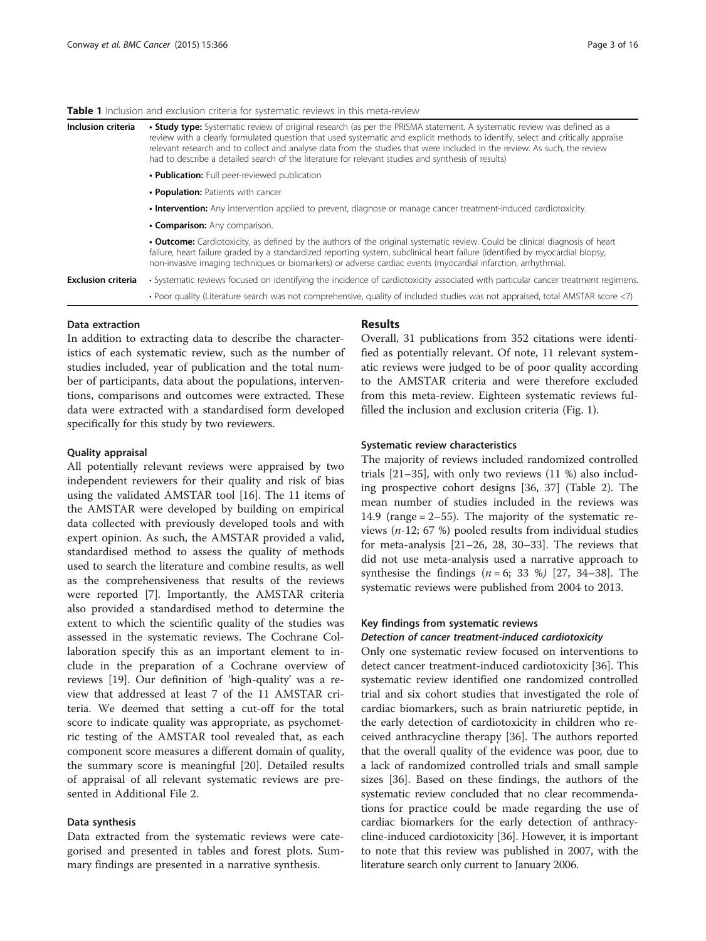#### <span id="page-2-0"></span>Table 1 Inclusion and exclusion criteria for systematic reviews in this meta-review

| Inclusion criteria        | • Study type: Systematic review of original research (as per the PRISMA statement. A systematic review was defined as a<br>review with a clearly formulated question that used systematic and explicit methods to identify, select and critically appraise<br>relevant research and to collect and analyse data from the studies that were included in the review. As such, the review<br>had to describe a detailed search of the literature for relevant studies and synthesis of results) |  |  |  |  |
|---------------------------|----------------------------------------------------------------------------------------------------------------------------------------------------------------------------------------------------------------------------------------------------------------------------------------------------------------------------------------------------------------------------------------------------------------------------------------------------------------------------------------------|--|--|--|--|
|                           | • Publication: Full peer-reviewed publication                                                                                                                                                                                                                                                                                                                                                                                                                                                |  |  |  |  |
|                           | • Population: Patients with cancer                                                                                                                                                                                                                                                                                                                                                                                                                                                           |  |  |  |  |
|                           | • Intervention: Any intervention applied to prevent, diagnose or manage cancer treatment-induced cardiotoxicity.                                                                                                                                                                                                                                                                                                                                                                             |  |  |  |  |
|                           | • Comparison: Any comparison.                                                                                                                                                                                                                                                                                                                                                                                                                                                                |  |  |  |  |
|                           | • <b>Outcome:</b> Cardiotoxicity, as defined by the authors of the original systematic review. Could be clinical diagnosis of heart<br>failure, heart failure graded by a standardized reporting system, subclinical heart failure (identified by myocardial biopsy,<br>non-invasive imaging techniques or biomarkers) or adverse cardiac events (myocardial infarction, arrhythmia).                                                                                                        |  |  |  |  |
| <b>Exclusion criteria</b> | · Systematic reviews focused on identifying the incidence of cardiotoxicity associated with particular cancer treatment regimens                                                                                                                                                                                                                                                                                                                                                             |  |  |  |  |
|                           | • Poor quality (Literature search was not comprehensive, quality of included studies was not appraised, total AMSTAR score <7)                                                                                                                                                                                                                                                                                                                                                               |  |  |  |  |

#### Data extraction

In addition to extracting data to describe the characteristics of each systematic review, such as the number of studies included, year of publication and the total number of participants, data about the populations, interventions, comparisons and outcomes were extracted. These data were extracted with a standardised form developed specifically for this study by two reviewers.

#### Quality appraisal

All potentially relevant reviews were appraised by two independent reviewers for their quality and risk of bias using the validated AMSTAR tool [\[16\]](#page-15-0). The 11 items of the AMSTAR were developed by building on empirical data collected with previously developed tools and with expert opinion. As such, the AMSTAR provided a valid, standardised method to assess the quality of methods used to search the literature and combine results, as well as the comprehensiveness that results of the reviews were reported [\[7](#page-15-0)]. Importantly, the AMSTAR criteria also provided a standardised method to determine the extent to which the scientific quality of the studies was assessed in the systematic reviews. The Cochrane Collaboration specify this as an important element to include in the preparation of a Cochrane overview of reviews [[19](#page-15-0)]. Our definition of 'high-quality' was a review that addressed at least 7 of the 11 AMSTAR criteria. We deemed that setting a cut-off for the total score to indicate quality was appropriate, as psychometric testing of the AMSTAR tool revealed that, as each component score measures a different domain of quality, the summary score is meaningful [\[20\]](#page-15-0). Detailed results of appraisal of all relevant systematic reviews are presented in Additional File [2](#page-14-0).

## Data synthesis

Data extracted from the systematic reviews were categorised and presented in tables and forest plots. Summary findings are presented in a narrative synthesis.

#### Results

Overall, 31 publications from 352 citations were identified as potentially relevant. Of note, 11 relevant systematic reviews were judged to be of poor quality according to the AMSTAR criteria and were therefore excluded from this meta-review. Eighteen systematic reviews fulfilled the inclusion and exclusion criteria (Fig. [1](#page-3-0)).

### Systematic review characteristics

The majority of reviews included randomized controlled trials [\[21](#page-15-0)–[35](#page-15-0)], with only two reviews (11 %) also including prospective cohort designs [[36, 37](#page-15-0)] (Table [2](#page-4-0)). The mean number of studies included in the reviews was 14.9 (range  $= 2-55$ ). The majority of the systematic reviews  $(n-12; 67 \%)$  pooled results from individual studies for meta-analysis [\[21](#page-15-0)–[26, 28](#page-15-0), [30](#page-15-0)–[33\]](#page-15-0). The reviews that did not use meta-analysis used a narrative approach to synthesise the findings  $(n = 6; 33 \%)$  [\[27](#page-15-0), [34](#page-15-0)–[38](#page-15-0)]. The systematic reviews were published from 2004 to 2013.

## Key findings from systematic reviews Detection of cancer treatment-induced cardiotoxicity

Only one systematic review focused on interventions to detect cancer treatment-induced cardiotoxicity [\[36](#page-15-0)]. This systematic review identified one randomized controlled trial and six cohort studies that investigated the role of cardiac biomarkers, such as brain natriuretic peptide, in the early detection of cardiotoxicity in children who received anthracycline therapy [[36\]](#page-15-0). The authors reported that the overall quality of the evidence was poor, due to a lack of randomized controlled trials and small sample sizes [\[36](#page-15-0)]. Based on these findings, the authors of the systematic review concluded that no clear recommendations for practice could be made regarding the use of cardiac biomarkers for the early detection of anthracycline-induced cardiotoxicity [\[36](#page-15-0)]. However, it is important to note that this review was published in 2007, with the literature search only current to January 2006.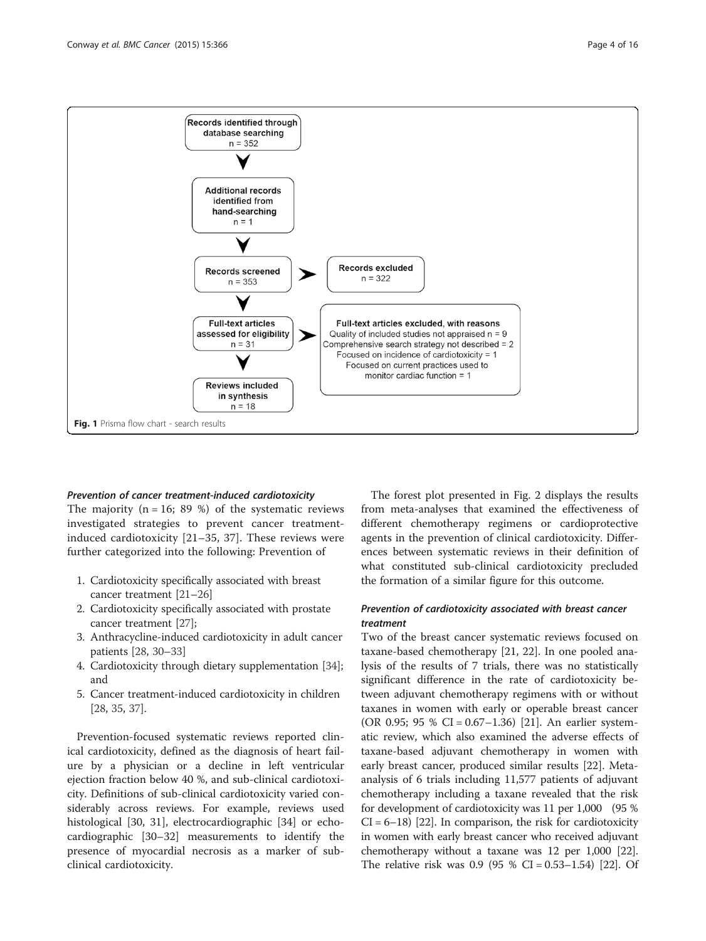<span id="page-3-0"></span>

Fig. 1 Prisma flow chart - search results

## Prevention of cancer treatment-induced cardiotoxicity

The majority  $(n = 16; 89%)$  of the systematic reviews investigated strategies to prevent cancer treatmentinduced cardiotoxicity [[21](#page-15-0)–[35](#page-15-0), [37\]](#page-15-0). These reviews were further categorized into the following: Prevention of

- 1. Cardiotoxicity specifically associated with breast cancer treatment [\[21](#page-15-0)–[26](#page-15-0)]
- 2. Cardiotoxicity specifically associated with prostate cancer treatment [\[27\]](#page-15-0);
- 3. Anthracycline-induced cardiotoxicity in adult cancer patients [[28,](#page-15-0) [30](#page-15-0)–[33\]](#page-15-0)
- 4. Cardiotoxicity through dietary supplementation [[34](#page-15-0)]; and
- 5. Cancer treatment-induced cardiotoxicity in children [\[28](#page-15-0), [35,](#page-15-0) [37](#page-15-0)].

Prevention-focused systematic reviews reported clinical cardiotoxicity, defined as the diagnosis of heart failure by a physician or a decline in left ventricular ejection fraction below 40 %, and sub-clinical cardiotoxicity. Definitions of sub-clinical cardiotoxicity varied considerably across reviews. For example, reviews used histological [\[30](#page-15-0), [31\]](#page-15-0), electrocardiographic [\[34\]](#page-15-0) or echocardiographic [[30](#page-15-0)–[32](#page-15-0)] measurements to identify the presence of myocardial necrosis as a marker of subclinical cardiotoxicity.

The forest plot presented in Fig. [2](#page-11-0) displays the results from meta-analyses that examined the effectiveness of different chemotherapy regimens or cardioprotective agents in the prevention of clinical cardiotoxicity. Differences between systematic reviews in their definition of what constituted sub-clinical cardiotoxicity precluded the formation of a similar figure for this outcome.

## Prevention of cardiotoxicity associated with breast cancer treatment

Two of the breast cancer systematic reviews focused on taxane-based chemotherapy [[21, 22\]](#page-15-0). In one pooled analysis of the results of 7 trials, there was no statistically significant difference in the rate of cardiotoxicity between adjuvant chemotherapy regimens with or without taxanes in women with early or operable breast cancer (OR 0.95; 95 % CI =  $0.67-1.36$ ) [\[21](#page-15-0)]. An earlier systematic review, which also examined the adverse effects of taxane-based adjuvant chemotherapy in women with early breast cancer, produced similar results [\[22\]](#page-15-0). Metaanalysis of 6 trials including 11,577 patients of adjuvant chemotherapy including a taxane revealed that the risk for development of cardiotoxicity was 11 per 1,000 (95 %  $CI = 6-18$  [[22](#page-15-0)]. In comparison, the risk for cardiotoxicity in women with early breast cancer who received adjuvant chemotherapy without a taxane was 12 per 1,000 [[22](#page-15-0)]. The relative risk was 0.9 (95 % CI =  $0.53-1.54$ ) [\[22\]](#page-15-0). Of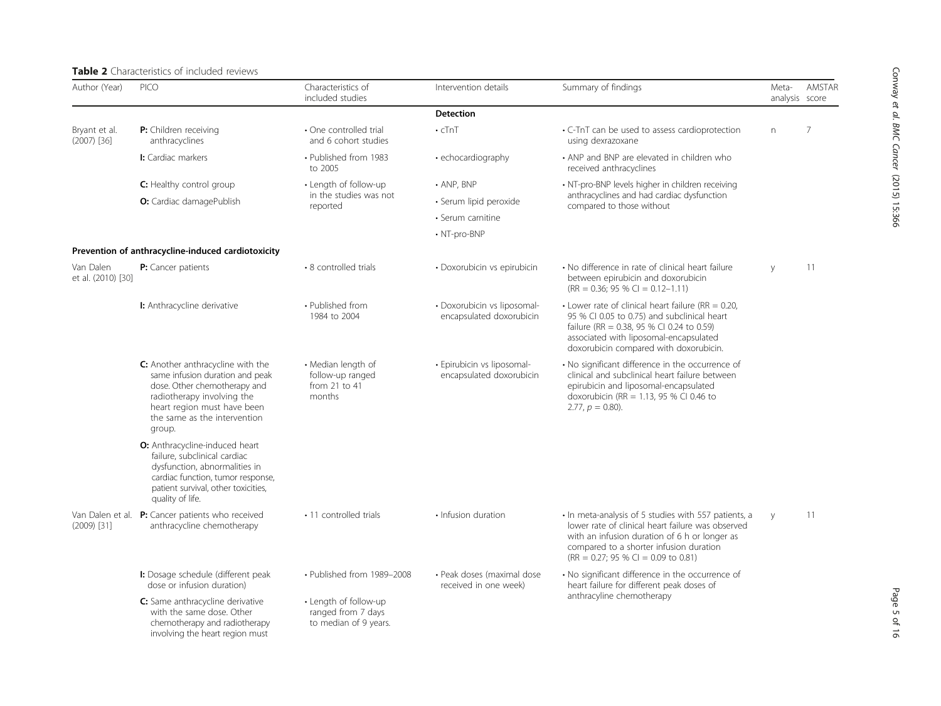## <span id="page-4-0"></span>Table 2 Characteristics of included reviews

| Author (Year)                   | PICO                                                                                                                                                                                                        | Characteristics of<br>included studies                               | Intervention details                                    | Summary of findings                                                                                                                                                                                                                            | Meta-<br>analysis score | AMSTAR |
|---------------------------------|-------------------------------------------------------------------------------------------------------------------------------------------------------------------------------------------------------------|----------------------------------------------------------------------|---------------------------------------------------------|------------------------------------------------------------------------------------------------------------------------------------------------------------------------------------------------------------------------------------------------|-------------------------|--------|
|                                 |                                                                                                                                                                                                             |                                                                      | <b>Detection</b>                                        |                                                                                                                                                                                                                                                |                         |        |
| Bryant et al.<br>$(2007)$ [36]  | P: Children receiving<br>anthracyclines                                                                                                                                                                     | • One controlled trial<br>and 6 cohort studies                       | $\cdot$ cTnT                                            | • C-TnT can be used to assess cardioprotection<br>using dexrazoxane                                                                                                                                                                            | $\mathsf{n}$            | 7      |
|                                 | I: Cardiac markers                                                                                                                                                                                          | • Published from 1983<br>to 2005                                     | • echocardiography                                      | • ANP and BNP are elevated in children who<br>received anthracyclines                                                                                                                                                                          |                         |        |
|                                 | C: Healthy control group                                                                                                                                                                                    | • Length of follow-up                                                | • ANP, BNP                                              | • NT-pro-BNP levels higher in children receiving                                                                                                                                                                                               |                         |        |
|                                 | O: Cardiac damagePublish                                                                                                                                                                                    | in the studies was not<br>reported                                   | · Serum lipid peroxide                                  | anthracyclines and had cardiac dysfunction<br>compared to those without                                                                                                                                                                        |                         |        |
|                                 |                                                                                                                                                                                                             |                                                                      | • Serum carnitine                                       |                                                                                                                                                                                                                                                |                         |        |
|                                 |                                                                                                                                                                                                             |                                                                      | $\cdot$ NT-pro-BNP                                      |                                                                                                                                                                                                                                                |                         |        |
|                                 | Prevention of anthracycline-induced cardiotoxicity                                                                                                                                                          |                                                                      |                                                         |                                                                                                                                                                                                                                                |                         |        |
| Van Dalen<br>et al. (2010) [30] | P: Cancer patients                                                                                                                                                                                          | • 8 controlled trials                                                | · Doxorubicin vs epirubicin                             | • No difference in rate of clinical heart failure<br>between epirubicin and doxorubicin<br>$(RR = 0.36; 95%$ Cl = 0.12-1.11)                                                                                                                   | y                       | 11     |
|                                 | I: Anthracycline derivative                                                                                                                                                                                 | • Published from<br>1984 to 2004                                     | · Doxorubicin vs liposomal-<br>encapsulated doxorubicin | • Lower rate of clinical heart failure (RR = $0.20$ ,<br>95 % CI 0.05 to 0.75) and subclinical heart<br>failure (RR = $0.38$ , 95 % CI 0.24 to 0.59)<br>associated with liposomal-encapsulated<br>doxorubicin compared with doxorubicin.       |                         |        |
|                                 | C: Another anthracycline with the<br>same infusion duration and peak<br>dose. Other chemotherapy and<br>radiotherapy involving the<br>heart region must have been<br>the same as the intervention<br>group. | • Median length of<br>follow-up ranged<br>from 21 to 41<br>months    | · Epirubicin vs liposomal-<br>encapsulated doxorubicin  | . No significant difference in the occurrence of<br>clinical and subclinical heart failure between<br>epirubicin and liposomal-encapsulated<br>doxorubicin (RR = 1.13, 95 % CI 0.46 to<br>2.77, $p = 0.80$ ).                                  |                         |        |
|                                 | O: Anthracycline-induced heart<br>failure, subclinical cardiac<br>dysfunction, abnormalities in<br>cardiac function, tumor response,<br>patient survival, other toxicities,<br>quality of life.             |                                                                      |                                                         |                                                                                                                                                                                                                                                |                         |        |
| $(2009)$ [31]                   | Van Dalen et al. P: Cancer patients who received<br>anthracycline chemotherapy                                                                                                                              | • 11 controlled trials                                               | • Infusion duration                                     | • In meta-analysis of 5 studies with 557 patients, a<br>lower rate of clinical heart failure was observed<br>with an infusion duration of 6 h or longer as<br>compared to a shorter infusion duration<br>$(RR = 0.27; 95 % CI = 0.09$ to 0.81) | y                       | 11     |
|                                 | I: Dosage schedule (different peak<br>dose or infusion duration)                                                                                                                                            | • Published from 1989-2008                                           | • Peak doses (maximal dose<br>received in one week)     | • No significant difference in the occurrence of<br>heart failure for different peak doses of                                                                                                                                                  |                         |        |
|                                 | C: Same anthracycline derivative<br>with the same dose. Other<br>chemotherapy and radiotherapy<br>involving the heart region must                                                                           | • Length of follow-up<br>ranged from 7 days<br>to median of 9 years. |                                                         | anthracyline chemotherapy                                                                                                                                                                                                                      |                         |        |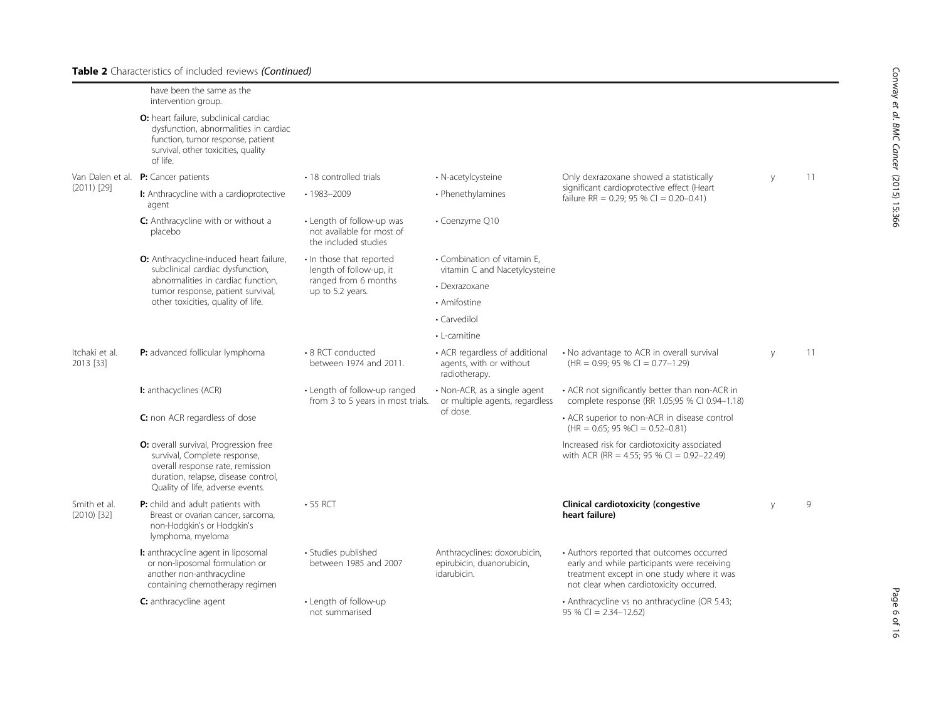|                               | have been the same as the<br>intervention group.                                                                                                                                     |                                                                                |                                                                            |                                                                                                                                                                                   |   |    |
|-------------------------------|--------------------------------------------------------------------------------------------------------------------------------------------------------------------------------------|--------------------------------------------------------------------------------|----------------------------------------------------------------------------|-----------------------------------------------------------------------------------------------------------------------------------------------------------------------------------|---|----|
|                               | O: heart failure, subclinical cardiac<br>dysfunction, abnormalities in cardiac<br>function, tumor response, patient<br>survival, other toxicities, quality<br>of life.               |                                                                                |                                                                            |                                                                                                                                                                                   |   |    |
|                               | Van Dalen et al. P: Cancer patients                                                                                                                                                  | • 18 controlled trials                                                         | • N-acetylcysteine                                                         | Only dexrazoxane showed a statistically                                                                                                                                           | y | 11 |
| $(2011)$ [29]                 | I: Anthracycline with a cardioprotective<br>agent                                                                                                                                    | $\cdot$ 1983-2009                                                              | • Phenethylamines                                                          | significant cardioprotective effect (Heart<br>failure RR = $0.29$ ; 95 % Cl = $0.20-0.41$ )                                                                                       |   |    |
|                               | C: Anthracycline with or without a<br>placebo                                                                                                                                        | • Length of follow-up was<br>not available for most of<br>the included studies | · Coenzyme Q10                                                             |                                                                                                                                                                                   |   |    |
|                               | O: Anthracycline-induced heart failure,<br>subclinical cardiac dysfunction,                                                                                                          | • In those that reported<br>length of follow-up, it                            | • Combination of vitamin E.<br>vitamin C and Nacetylcysteine               |                                                                                                                                                                                   |   |    |
|                               | abnormalities in cardiac function,<br>tumor response, patient survival,                                                                                                              | ranged from 6 months<br>up to 5.2 years.                                       | • Dexrazoxane                                                              |                                                                                                                                                                                   |   |    |
|                               | other toxicities, quality of life.                                                                                                                                                   |                                                                                | • Amifostine                                                               |                                                                                                                                                                                   |   |    |
|                               |                                                                                                                                                                                      |                                                                                | • Carvedilol                                                               |                                                                                                                                                                                   |   |    |
|                               |                                                                                                                                                                                      |                                                                                | • L-carnitine                                                              |                                                                                                                                                                                   |   |    |
| Itchaki et al.<br>2013 [33]   | P: advanced follicular lymphoma                                                                                                                                                      | • 8 RCT conducted<br>between 1974 and 2011.                                    | • ACR regardless of additional<br>agents, with or without<br>radiotherapy. | • No advantage to ACR in overall survival<br>$(HR = 0.99; 95 % C1 = 0.77-1.29)$                                                                                                   | y | 11 |
|                               | I: anthacyclines (ACR)                                                                                                                                                               | • Length of follow-up ranged<br>from 3 to 5 years in most trials.              | • Non-ACR, as a single agent<br>or multiple agents, regardless<br>of dose. | • ACR not significantly better than non-ACR in<br>complete response (RR 1.05;95 % CI 0.94-1.18)                                                                                   |   |    |
|                               | C: non ACR regardless of dose                                                                                                                                                        |                                                                                |                                                                            | • ACR superior to non-ACR in disease control<br>$(HR = 0.65; 95 %CI = 0.52-0.81)$                                                                                                 |   |    |
|                               | O: overall survival, Progression free<br>survival, Complete response,<br>overall response rate, remission<br>duration, relapse, disease control,<br>Quality of life, adverse events. |                                                                                |                                                                            | Increased risk for cardiotoxicity associated<br>with ACR (RR = 4.55; 95 % Cl = 0.92-22.49)                                                                                        |   |    |
| Smith et al.<br>$(2010)$ [32] | P: child and adult patients with<br>Breast or ovarian cancer, sarcoma,<br>non-Hodgkin's or Hodgkin's<br>lymphoma, myeloma                                                            | $\cdot$ 55 RCT                                                                 |                                                                            | Clinical cardiotoxicity (congestive<br>heart failure)                                                                                                                             | y | 9  |
|                               | I: anthracycline agent in liposomal<br>or non-liposomal formulation or<br>another non-anthracycline<br>containing chemotherapy regimen                                               | · Studies published<br>between 1985 and 2007                                   | Anthracyclines: doxorubicin,<br>epirubicin, duanorubicin,<br>idarubicin.   | • Authors reported that outcomes occurred<br>early and while participants were receiving<br>treatment except in one study where it was<br>not clear when cardiotoxicity occurred. |   |    |
|                               | C: anthracycline agent                                                                                                                                                               | • Length of follow-up<br>not summarised                                        |                                                                            | • Anthracycline vs no anthracycline (OR 5.43;<br>$95\%$ CI = 2.34-12.62)                                                                                                          |   |    |
|                               |                                                                                                                                                                                      |                                                                                |                                                                            |                                                                                                                                                                                   |   |    |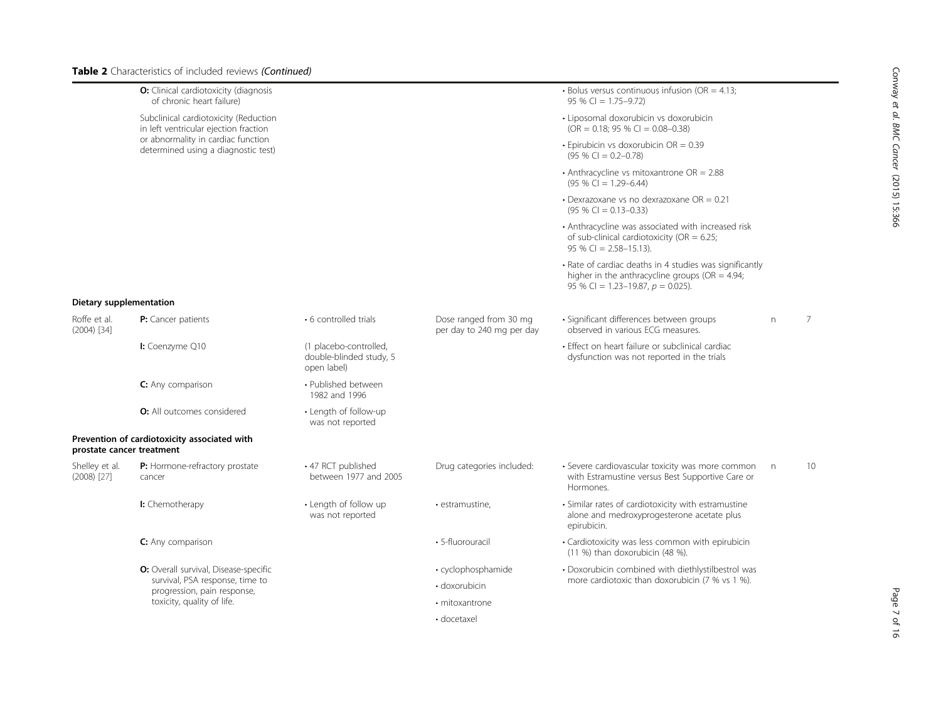|                                   | O: Clinical cardiotoxicity (diagnosis<br>of chronic heart failure)             |                                                                  |                                                     | • Bolus versus continuous infusion (OR = 4.13;<br>$95\%$ CI = 1.75-9.72)                                                                              |              |    |
|-----------------------------------|--------------------------------------------------------------------------------|------------------------------------------------------------------|-----------------------------------------------------|-------------------------------------------------------------------------------------------------------------------------------------------------------|--------------|----|
|                                   | Subclinical cardiotoxicity (Reduction<br>in left ventricular ejection fraction |                                                                  |                                                     | · Liposomal doxorubicin vs doxorubicin<br>$(OR = 0.18; 95 % CI = 0.08-0.38)$                                                                          |              |    |
|                                   | or abnormality in cardiac function<br>determined using a diagnostic test)      |                                                                  |                                                     | • Epirubicin vs doxorubicin $OR = 0.39$<br>$(95\% CI = 0.2 - 0.78)$                                                                                   |              |    |
|                                   |                                                                                |                                                                  |                                                     | • Anthracycline vs mitoxantrone $OR = 2.88$<br>$(95\% CI = 1.29 - 6.44)$                                                                              |              |    |
|                                   |                                                                                |                                                                  |                                                     | • Dexrazoxane vs no dexrazoxane OR = 0.21<br>$(95\% CI = 0.13 - 0.33)$                                                                                |              |    |
|                                   |                                                                                |                                                                  |                                                     | • Anthracycline was associated with increased risk<br>of sub-clinical cardiotoxicity (OR = $6.25$ ;<br>$95\%$ CI = 2.58-15.13).                       |              |    |
|                                   |                                                                                |                                                                  |                                                     | • Rate of cardiac deaths in 4 studies was significantly<br>higher in the anthracycline groups ( $OR = 4.94$ ;<br>95 % CI = 1.23-19.87, $p = 0.025$ ). |              |    |
| Dietary supplementation           |                                                                                |                                                                  |                                                     |                                                                                                                                                       |              |    |
| Roffe et al.<br>$(2004)$ [34]     | P: Cancer patients                                                             | • 6 controlled trials                                            | Dose ranged from 30 mg<br>per day to 240 mg per day | · Significant differences between groups<br>observed in various ECG measures.                                                                         | $\mathsf{n}$ | 7  |
|                                   | I: Coenzyme Q10                                                                | (1 placebo-controlled,<br>double-blinded study, 5<br>open label) |                                                     | · Effect on heart failure or subclinical cardiac<br>dysfunction was not reported in the trials                                                        |              |    |
|                                   | C: Any comparison                                                              | • Published between<br>1982 and 1996                             |                                                     |                                                                                                                                                       |              |    |
|                                   | <b>O:</b> All outcomes considered                                              | • Length of follow-up<br>was not reported                        |                                                     |                                                                                                                                                       |              |    |
| prostate cancer treatment         | Prevention of cardiotoxicity associated with                                   |                                                                  |                                                     |                                                                                                                                                       |              |    |
| Shelley et al.<br>$(2008)$ $[27]$ | P: Hormone-refractory prostate<br>cancer                                       | • 47 RCT published<br>between 1977 and 2005                      | Drug categories included:                           | • Severe cardiovascular toxicity was more common<br>with Estramustine versus Best Supportive Care or<br>Hormones.                                     | n            | 10 |
|                                   | I: Chemotherapy                                                                | • Length of follow up<br>was not reported                        | • estramustine,                                     | · Similar rates of cardiotoxicity with estramustine<br>alone and medroxyprogesterone acetate plus<br>epirubicin.                                      |              |    |
|                                   | C: Any comparison                                                              |                                                                  | · 5-fluorouracil                                    | • Cardiotoxicity was less common with epirubicin<br>(11 %) than doxorubicin (48 %).                                                                   |              |    |
|                                   | O: Overall survival, Disease-specific                                          |                                                                  | · cyclophosphamide                                  | • Doxorubicin combined with diethlystilbestrol was                                                                                                    |              |    |
|                                   | survival, PSA response, time to<br>progression, pain response,                 |                                                                  | · doxorubicin                                       | more cardiotoxic than doxorubicin (7 % vs 1 %).                                                                                                       |              |    |
|                                   | toxicity, quality of life.                                                     |                                                                  | • mitoxantrone                                      |                                                                                                                                                       |              |    |
|                                   |                                                                                |                                                                  | • docetaxel                                         |                                                                                                                                                       |              |    |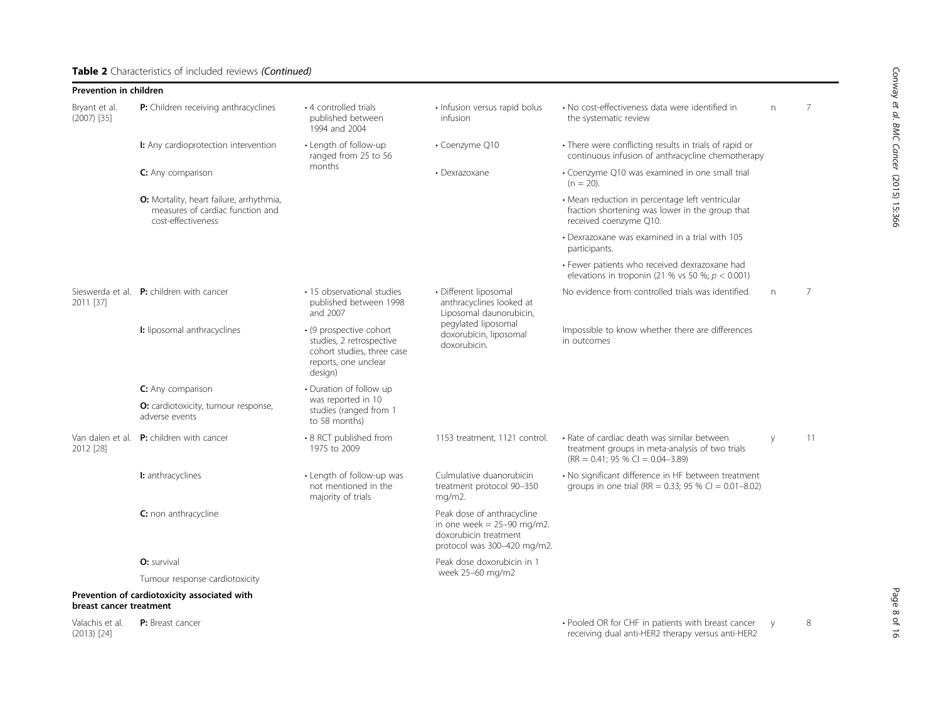| <b>Prevention in children</b>  |                                                                                                    |                                                                                                                      |                                                                                                                                               |                                                                                                                                      |              |                |
|--------------------------------|----------------------------------------------------------------------------------------------------|----------------------------------------------------------------------------------------------------------------------|-----------------------------------------------------------------------------------------------------------------------------------------------|--------------------------------------------------------------------------------------------------------------------------------------|--------------|----------------|
| Bryant et al.<br>$(2007)$ [35] | P: Children receiving anthracyclines                                                               | • 4 controlled trials<br>published between<br>1994 and 2004                                                          | · Infusion versus rapid bolus<br>infusion                                                                                                     | • No cost-effectiveness data were identified in<br>the systematic review                                                             | n            | $\overline{7}$ |
|                                | I: Any cardioprotection intervention                                                               | • Length of follow-up<br>ranged from 25 to 56                                                                        | • Coenzyme Q10                                                                                                                                | · There were conflicting results in trials of rapid or<br>continuous infusion of anthracycline chemotherapy                          |              |                |
|                                | C: Any comparison                                                                                  |                                                                                                                      | months<br>• Dexrazoxane                                                                                                                       | • Coenzyme Q10 was examined in one small trial<br>$(n = 20)$ .                                                                       |              |                |
|                                | O: Mortality, heart failure, arrhythmia,<br>measures of cardiac function and<br>cost-effectiveness |                                                                                                                      |                                                                                                                                               | • Mean reduction in percentage left ventricular<br>fraction shortening was lower in the group that<br>received coenzyme Q10.         |              |                |
|                                |                                                                                                    |                                                                                                                      |                                                                                                                                               | · Dexrazoxane was examined in a trial with 105<br>participants.                                                                      |              |                |
|                                |                                                                                                    |                                                                                                                      |                                                                                                                                               | • Fewer patients who received dexrazoxane had<br>elevations in troponin (21 % vs 50 %; $p < 0.001$ )                                 |              |                |
| 2011 [37]                      | Sieswerda et al. P: children with cancer                                                           | • 15 observational studies<br>published between 1998<br>and 2007                                                     | · Different liposomal<br>anthracyclines looked at<br>Liposomal daunorubicin,<br>pegylated liposomal<br>doxorubicin, liposomal<br>doxorubicin. | No evidence from controlled trials was identified.                                                                                   | $\mathsf{n}$ | $\overline{7}$ |
|                                | I: liposomal anthracyclines                                                                        | • (9 prospective cohort<br>studies, 2 retrospective<br>cohort studies, three case<br>reports, one unclear<br>design) |                                                                                                                                               | Impossible to know whether there are differences<br>in outcomes                                                                      |              |                |
|                                | C: Any comparison                                                                                  | • Duration of follow up                                                                                              |                                                                                                                                               |                                                                                                                                      |              |                |
|                                | O: cardiotoxicity, tumour response,<br>adverse events                                              | was reported in 10<br>studies (ranged from 1<br>to 58 months)                                                        |                                                                                                                                               |                                                                                                                                      |              |                |
| Van dalen et al.<br>2012 [28]  | <b>P:</b> children with cancer                                                                     | • 8 RCT published from<br>1975 to 2009                                                                               | 1153 treatment, 1121 control.                                                                                                                 | • Rate of cardiac death was similar between<br>treatment groups in meta-analysis of two trials<br>$(RR = 0.41; 95 % C1 = 0.04-3.89)$ | $\vee$       | 11             |
|                                | I: anthracyclines                                                                                  | • Length of follow-up was<br>not mentioned in the<br>majority of trials                                              | Culmulative duanorubicin<br>treatment protocol 90-350<br>mg/m2.                                                                               | • No significant difference in HF between treatment<br>groups in one trial (RR = $0.33$ ; 95 % CI = $0.01-8.02$ )                    |              |                |
|                                | C: non anthracycline                                                                               |                                                                                                                      | Peak dose of anthracycline<br>in one week = $25-90$ mg/m2.<br>doxorubicin treatment<br>protocol was 300-420 mg/m2.                            |                                                                                                                                      |              |                |
|                                | O: survival                                                                                        |                                                                                                                      | Peak dose doxorubicin in 1                                                                                                                    |                                                                                                                                      |              |                |
|                                | Tumour response cardiotoxicity                                                                     |                                                                                                                      | week 25-60 mg/m2                                                                                                                              |                                                                                                                                      |              |                |
| breast cancer treatment        | Prevention of cardiotoxicity associated with                                                       |                                                                                                                      |                                                                                                                                               |                                                                                                                                      |              |                |
| Valachis et al.                | P: Breast cancer                                                                                   |                                                                                                                      |                                                                                                                                               | • Pooled OR for CHF in patients with breast cancer                                                                                   |              | 8              |

Valachis et al. (2013) [[24\]](#page-15-0)

receiving dual anti-HER2 therapy versus anti-HER2  $\mathsf{y}$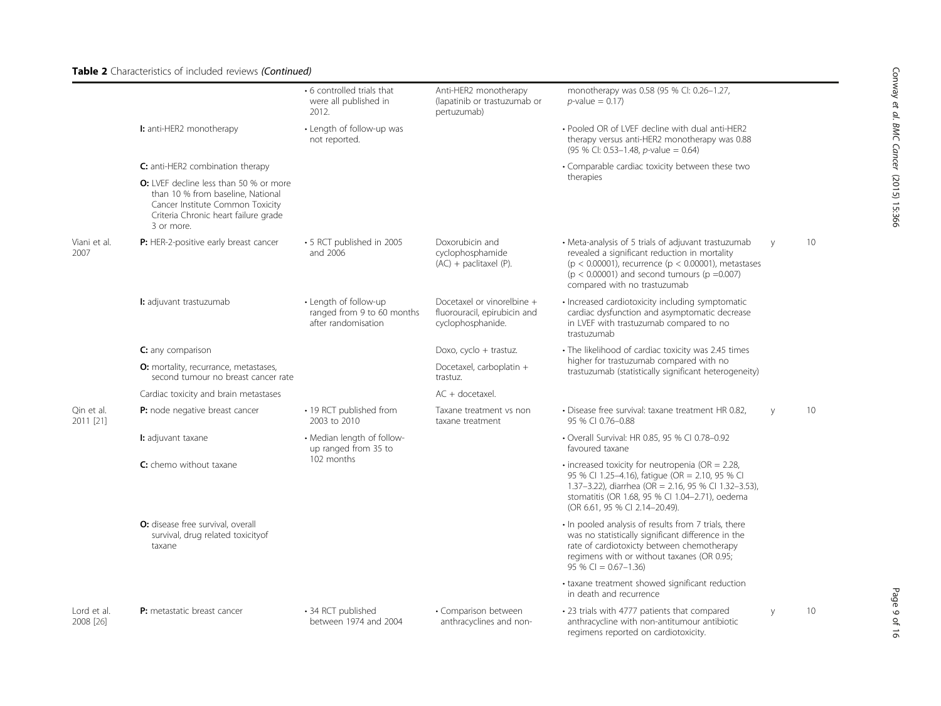|                          |                                                                                                                                                                              | • 6 controlled trials that<br>were all published in<br>2012.               | Anti-HER2 monotherapy<br>(lapatinib or trastuzumab or<br>pertuzumab)            | monotherapy was 0.58 (95 % CI: 0.26-1.27,<br>$p$ -value = 0.17)                                                                                                                                                                                         |        |                 |
|--------------------------|------------------------------------------------------------------------------------------------------------------------------------------------------------------------------|----------------------------------------------------------------------------|---------------------------------------------------------------------------------|---------------------------------------------------------------------------------------------------------------------------------------------------------------------------------------------------------------------------------------------------------|--------|-----------------|
|                          | I: anti-HER2 monotherapy                                                                                                                                                     | • Length of follow-up was<br>not reported.                                 |                                                                                 | • Pooled OR of LVEF decline with dual anti-HER2<br>therapy versus anti-HER2 monotherapy was 0.88<br>(95 % CI: 0.53-1.48, <i>p</i> -value = 0.64)                                                                                                        |        |                 |
|                          | C: anti-HER2 combination therapy                                                                                                                                             |                                                                            |                                                                                 | · Comparable cardiac toxicity between these two                                                                                                                                                                                                         |        |                 |
|                          | <b>O:</b> LVEF decline less than 50 % or more<br>than 10 % from baseline, National<br>Cancer Institute Common Toxicity<br>Criteria Chronic heart failure grade<br>3 or more. |                                                                            |                                                                                 | therapies                                                                                                                                                                                                                                               |        |                 |
| Viani et al.<br>2007     | P: HER-2-positive early breast cancer                                                                                                                                        | • 5 RCT published in 2005<br>and 2006                                      | Doxorubicin and<br>cyclophosphamide<br>$(AC)$ + paclitaxel (P).                 | • Meta-analysis of 5 trials of adjuvant trastuzumab<br>revealed a significant reduction in mortality<br>( $p < 0.00001$ ), recurrence ( $p < 0.00001$ ), metastases<br>$(p < 0.00001)$ and second tumours $(p = 0.007)$<br>compared with no trastuzumab | $\vee$ | 10 <sup>°</sup> |
|                          | I: adjuvant trastuzumab                                                                                                                                                      | • Length of follow-up<br>ranged from 9 to 60 months<br>after randomisation | Docetaxel or vinorelbine +<br>fluorouracil, epirubicin and<br>cyclophosphanide. | · Increased cardiotoxicity including symptomatic<br>cardiac dysfunction and asymptomatic decrease<br>in LVEF with trastuzumab compared to no<br>trastuzumab                                                                                             |        |                 |
|                          | C: any comparison                                                                                                                                                            |                                                                            | Doxo, cyclo + trastuz.                                                          | · The likelihood of cardiac toxicity was 2.45 times                                                                                                                                                                                                     |        |                 |
|                          | O: mortality, recurrance, metastases,<br>second tumour no breast cancer rate                                                                                                 |                                                                            | Docetaxel, carboplatin +<br>trastuz.                                            | higher for trastuzumab compared with no<br>trastuzumab (statistically significant heterogeneity)                                                                                                                                                        |        |                 |
|                          | Cardiac toxicity and brain metastases                                                                                                                                        |                                                                            | $AC + docetaxel.$                                                               |                                                                                                                                                                                                                                                         |        |                 |
| Qin et al.<br>2011 [21]  | P: node negative breast cancer                                                                                                                                               | • 19 RCT published from<br>2003 to 2010                                    | Taxane treatment vs non<br>taxane treatment                                     | · Disease free survival: taxane treatment HR 0.82,<br>95 % CI 0.76-0.88                                                                                                                                                                                 | $\vee$ | 10              |
|                          | I: adjuvant taxane                                                                                                                                                           | • Median length of follow-<br>up ranged from 35 to<br>102 months           |                                                                                 | • Overall Survival: HR 0.85, 95 % CI 0.78-0.92<br>favoured taxane                                                                                                                                                                                       |        |                 |
|                          | C: chemo without taxane                                                                                                                                                      |                                                                            |                                                                                 | $\cdot$ increased toxicity for neutropenia (OR = 2.28,<br>95 % Cl 1.25-4.16), fatigue (OR = 2.10, 95 % Cl<br>1.37-3.22), diarrhea (OR = 2.16, 95 % CI 1.32-3.53),<br>stomatitis (OR 1.68, 95 % CI 1.04-2.71), oedema<br>(OR 6.61, 95 % CI 2.14-20.49).  |        |                 |
|                          | O: disease free survival, overall<br>survival, drug related toxicityof<br>taxane                                                                                             |                                                                            |                                                                                 | · In pooled analysis of results from 7 trials, there<br>was no statistically significant difference in the<br>rate of cardiotoxicty between chemotherapy<br>regimens with or without taxanes (OR 0.95;<br>$95\%$ CI = 0.67-1.36)                        |        |                 |
|                          |                                                                                                                                                                              |                                                                            |                                                                                 | • taxane treatment showed significant reduction<br>in death and recurrence                                                                                                                                                                              |        |                 |
| Lord et al.<br>2008 [26] | P: metastatic breast cancer                                                                                                                                                  | • 34 RCT published<br>between 1974 and 2004                                | · Comparison between<br>anthracyclines and non-                                 | • 23 trials with 4777 patients that compared<br>anthracycline with non-antitumour antibiotic<br>regimens reported on cardiotoxicity.                                                                                                                    | y      | 10 <sup>°</sup> |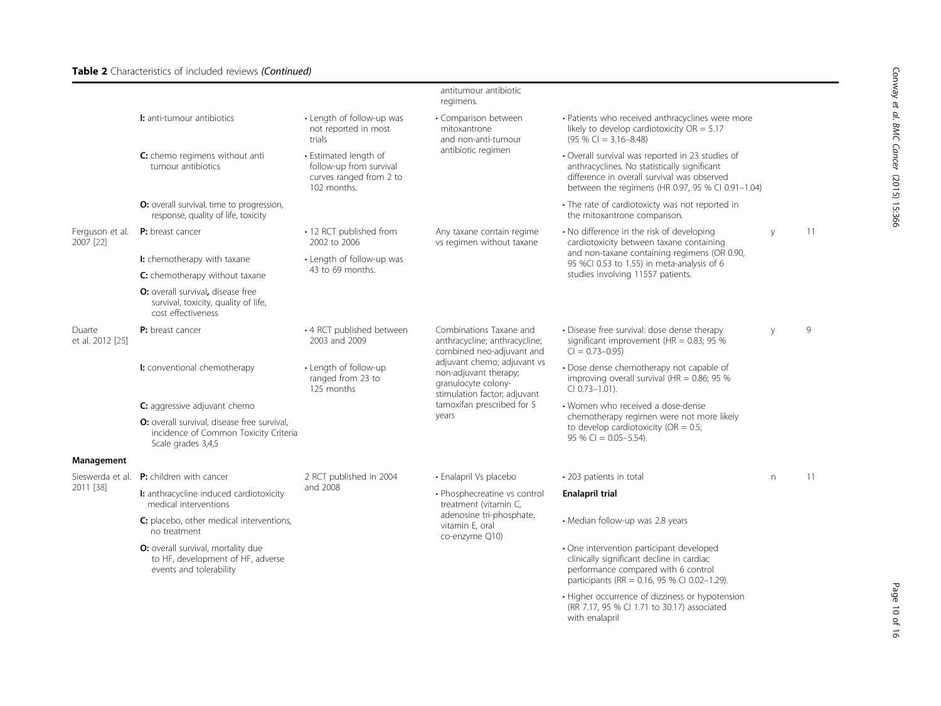|                              |                                                                                                                                                                          |                                                                                                        | antitumour antibiotic<br>regimens.                                                                                                                                                                                                          |                                                                                                                                                                              |        |    |
|------------------------------|--------------------------------------------------------------------------------------------------------------------------------------------------------------------------|--------------------------------------------------------------------------------------------------------|---------------------------------------------------------------------------------------------------------------------------------------------------------------------------------------------------------------------------------------------|------------------------------------------------------------------------------------------------------------------------------------------------------------------------------|--------|----|
|                              | I: anti-tumour antibiotics                                                                                                                                               | • Length of follow-up was<br>not reported in most<br>trials                                            | · Comparison between<br>mitoxantrone<br>and non-anti-tumour                                                                                                                                                                                 | · Patients who received anthracyclines were more<br>likely to develop cardiotoxicity $OR = 5.17$<br>$(95\% CI = 3.16 - 8.48)$                                                |        |    |
|                              | antibiotic regimen<br>C: chemo regimens without anti<br>• Estimated length of<br>follow-up from survival<br>tumour antibiotics<br>curves ranged from 2 to<br>102 months. |                                                                                                        | · Overall survival was reported in 23 studies of<br>anthracyclines. No statistically significant<br>difference in overall survival was observed<br>between the regimens (HR 0.97, 95 % CI 0.91-1.04)                                        |                                                                                                                                                                              |        |    |
|                              | O: overall survival, time to progression,<br>response, quality of life, toxicity                                                                                         |                                                                                                        |                                                                                                                                                                                                                                             | • The rate of cardiotoxicty was not reported in<br>the mitoxantrone comparison.                                                                                              |        |    |
| Ferguson et al.<br>2007 [22] | P: breast cancer                                                                                                                                                         | • 12 RCT published from<br>2002 to 2006                                                                | Any taxane contain regime<br>vs regimen without taxane                                                                                                                                                                                      | • No difference in the risk of developing<br>cardiotoxicity between taxane containing                                                                                        | $\vee$ | 11 |
|                              | I: chemotherapy with taxane                                                                                                                                              | • Length of follow-up was                                                                              |                                                                                                                                                                                                                                             | and non-taxane containing regimens (OR 0.90,<br>95 %Cl 0.53 to 1.55) in meta-analysis of 6                                                                                   |        |    |
|                              | C: chemotherapy without taxane                                                                                                                                           | 43 to 69 months.                                                                                       |                                                                                                                                                                                                                                             | studies involving 11557 patients.                                                                                                                                            |        |    |
|                              | O: overall survival, disease free<br>survival, toxicity, quality of life,<br>cost effectiveness                                                                          |                                                                                                        |                                                                                                                                                                                                                                             |                                                                                                                                                                              |        |    |
| Duarte<br>et al. 2012 [25]   | P: breast cancer                                                                                                                                                         | • 4 RCT published between<br>2003 and 2009<br>• Length of follow-up<br>ranged from 23 to<br>125 months | Combinations Taxane and<br>anthracycline; anthracycline;<br>combined neo-adjuvant and<br>adjuvant chemo; adjuvant vs<br>non-adjuvant therapy;<br>granulocyte colony-<br>stimulation factor; adjuvant<br>tamoxifan prescribed for 5<br>years | · Disease free survival: dose dense therapy<br>significant improvement (HR = $0.83$ ; 95 %<br>$Cl = 0.73 - 0.95$                                                             | $\vee$ | 9  |
|                              | I: conventional chemotherapy                                                                                                                                             |                                                                                                        |                                                                                                                                                                                                                                             | · Dose dense chemotherapy not capable of<br>improving overall survival (HR = $0.86$ ; 95 %<br>$Cl$ 0.73-1.01).                                                               |        |    |
|                              | C: aggressive adjuvant chemo                                                                                                                                             |                                                                                                        |                                                                                                                                                                                                                                             | • Women who received a dose-dense                                                                                                                                            |        |    |
|                              | O: overall survival, disease free survival,<br>incidence of Common Toxicity Criteria<br>Scale grades 3,4,5                                                               |                                                                                                        |                                                                                                                                                                                                                                             | chemotherapy regimen were not more likely<br>to develop cardiotoxicity (OR = $0.5$ ;<br>$95\%$ Cl = 0.05-5.54).                                                              |        |    |
| Management                   |                                                                                                                                                                          |                                                                                                        |                                                                                                                                                                                                                                             |                                                                                                                                                                              |        |    |
| Sieswerda et al.             | <b>P:</b> children with cancer                                                                                                                                           | 2 RCT published in 2004                                                                                | • Enalapril Vs placebo                                                                                                                                                                                                                      | • 203 patients in total                                                                                                                                                      | n      | 11 |
| 2011 [38]                    | I: anthracycline induced cardiotoxicity<br>medical interventions                                                                                                         | and 2008                                                                                               | • Phosphecreatine vs control<br>treatment (vitamin C,                                                                                                                                                                                       | <b>Enalapril trial</b>                                                                                                                                                       |        |    |
|                              | C: placebo, other medical interventions,<br>no treatment                                                                                                                 |                                                                                                        | adenosine tri-phosphate,<br>vitamin E, oral<br>co-enzyme Q10)                                                                                                                                                                               | • Median follow-up was 2.8 years                                                                                                                                             |        |    |
|                              | O: overall survival, mortality due<br>to HF, development of HF, adverse<br>events and tolerability                                                                       |                                                                                                        |                                                                                                                                                                                                                                             | · One intervention participant developed<br>clinically significant decline in cardiac<br>performance compared with 6 control<br>participants (RR = 0.16, 95 % CI 0.02-1.29). |        |    |
|                              |                                                                                                                                                                          |                                                                                                        |                                                                                                                                                                                                                                             | • Higher occurrence of dizziness or hypotension<br>(RR 7.17, 95 % CI 1.71 to 30.17) associated<br>with enalapril                                                             |        |    |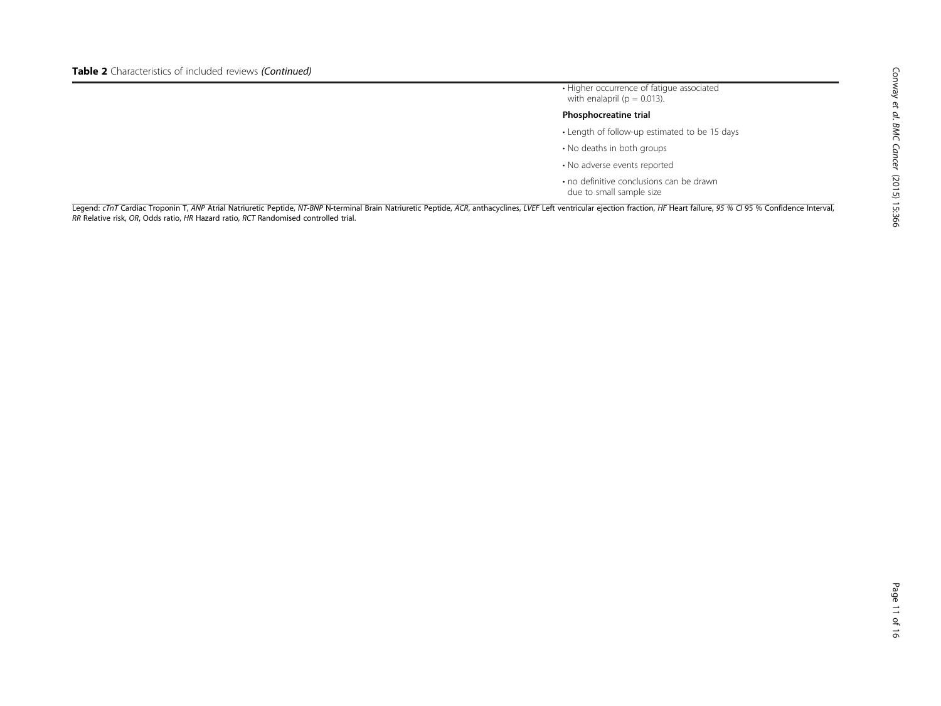#### • Higher occurrence of fatigue associated with enalapril  $(p = 0.013)$ .

## Phosphocreatine trial

- Length of follow-up estimated to be 15 days
- No deaths in both groups
- No adverse events reported
- no definitive conclusions can be drawn due to small sample size

Legend: cTnT Cardiac Troponin T, ANP Atrial Natriuretic Peptide, NT-BNP N-terminal Brain Natriuretic Peptide, ACR, anthacyclines, LVEF Left ventricular ejection fraction, HF Heart failure, 95 % CI 95 % Confidence Interval, RR Relative risk, OR, Odds ratio, HR Hazard ratio, RCT Randomised controlled trial.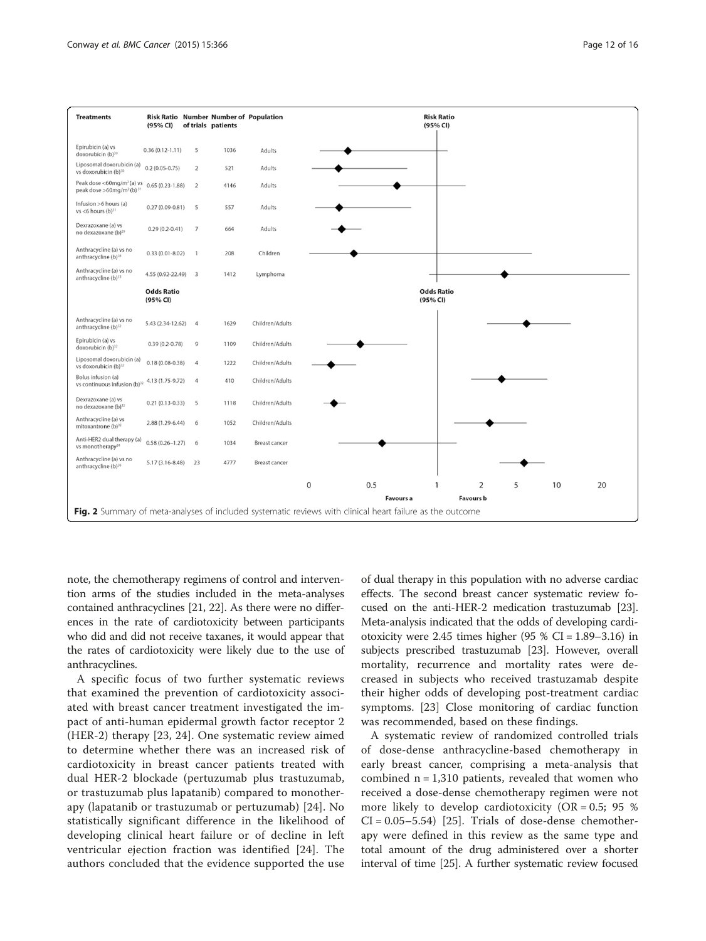<span id="page-11-0"></span>

note, the chemotherapy regimens of control and intervention arms of the studies included in the meta-analyses contained anthracyclines [[21](#page-15-0), [22](#page-15-0)]. As there were no differences in the rate of cardiotoxicity between participants who did and did not receive taxanes, it would appear that the rates of cardiotoxicity were likely due to the use of anthracyclines.

A specific focus of two further systematic reviews that examined the prevention of cardiotoxicity associated with breast cancer treatment investigated the impact of anti-human epidermal growth factor receptor 2 (HER-2) therapy [[23, 24](#page-15-0)]. One systematic review aimed to determine whether there was an increased risk of cardiotoxicity in breast cancer patients treated with dual HER-2 blockade (pertuzumab plus trastuzumab, or trastuzumab plus lapatanib) compared to monotherapy (lapatanib or trastuzumab or pertuzumab) [[24](#page-15-0)]. No statistically significant difference in the likelihood of developing clinical heart failure or of decline in left ventricular ejection fraction was identified [[24](#page-15-0)]. The authors concluded that the evidence supported the use

of dual therapy in this population with no adverse cardiac effects. The second breast cancer systematic review focused on the anti-HER-2 medication trastuzumab [[23](#page-15-0)]. Meta-analysis indicated that the odds of developing cardiotoxicity were 2.45 times higher  $(95 % CI = 1.89-3.16)$  in subjects prescribed trastuzumab [\[23](#page-15-0)]. However, overall mortality, recurrence and mortality rates were decreased in subjects who received trastuzamab despite their higher odds of developing post-treatment cardiac symptoms. [[23\]](#page-15-0) Close monitoring of cardiac function was recommended, based on these findings.

A systematic review of randomized controlled trials of dose-dense anthracycline-based chemotherapy in early breast cancer, comprising a meta-analysis that combined  $n = 1,310$  patients, revealed that women who received a dose-dense chemotherapy regimen were not more likely to develop cardiotoxicity (OR = 0.5; 95 %  $CI = 0.05 - 5.54$  [\[25\]](#page-15-0). Trials of dose-dense chemotherapy were defined in this review as the same type and total amount of the drug administered over a shorter interval of time [\[25\]](#page-15-0). A further systematic review focused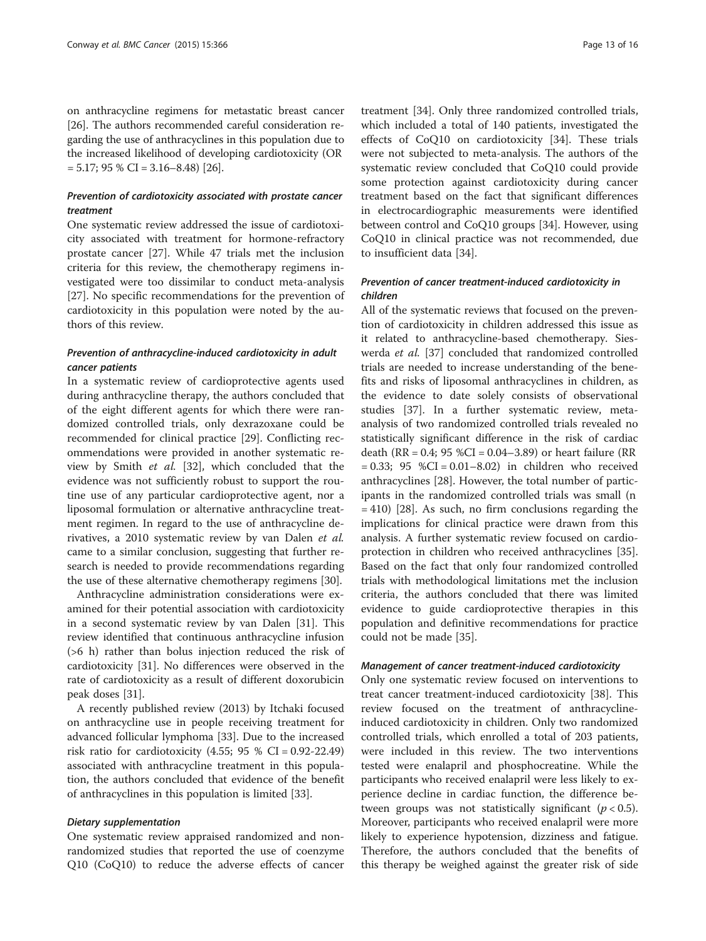on anthracycline regimens for metastatic breast cancer [[26](#page-15-0)]. The authors recommended careful consideration regarding the use of anthracyclines in this population due to the increased likelihood of developing cardiotoxicity (OR  $= 5.17$ ; 95 % CI  $= 3.16 - 8.48$  [\[26\]](#page-15-0).

## Prevention of cardiotoxicity associated with prostate cancer treatment

One systematic review addressed the issue of cardiotoxicity associated with treatment for hormone-refractory prostate cancer [\[27](#page-15-0)]. While 47 trials met the inclusion criteria for this review, the chemotherapy regimens investigated were too dissimilar to conduct meta-analysis [[27\]](#page-15-0). No specific recommendations for the prevention of cardiotoxicity in this population were noted by the authors of this review.

## Prevention of anthracycline-induced cardiotoxicity in adult cancer patients

In a systematic review of cardioprotective agents used during anthracycline therapy, the authors concluded that of the eight different agents for which there were randomized controlled trials, only dexrazoxane could be recommended for clinical practice [\[29](#page-15-0)]. Conflicting recommendations were provided in another systematic review by Smith et al. [\[32](#page-15-0)], which concluded that the evidence was not sufficiently robust to support the routine use of any particular cardioprotective agent, nor a liposomal formulation or alternative anthracycline treatment regimen. In regard to the use of anthracycline derivatives, a 2010 systematic review by van Dalen et al. came to a similar conclusion, suggesting that further research is needed to provide recommendations regarding the use of these alternative chemotherapy regimens [[30\]](#page-15-0).

Anthracycline administration considerations were examined for their potential association with cardiotoxicity in a second systematic review by van Dalen [[31\]](#page-15-0). This review identified that continuous anthracycline infusion (>6 h) rather than bolus injection reduced the risk of cardiotoxicity [\[31](#page-15-0)]. No differences were observed in the rate of cardiotoxicity as a result of different doxorubicin peak doses [[31\]](#page-15-0).

A recently published review (2013) by Itchaki focused on anthracycline use in people receiving treatment for advanced follicular lymphoma [[33](#page-15-0)]. Due to the increased risk ratio for cardiotoxicity  $(4.55; 95 % CI = 0.92-22.49)$ associated with anthracycline treatment in this population, the authors concluded that evidence of the benefit of anthracyclines in this population is limited [[33](#page-15-0)].

#### Dietary supplementation

One systematic review appraised randomized and nonrandomized studies that reported the use of coenzyme Q10 (CoQ10) to reduce the adverse effects of cancer

treatment [[34](#page-15-0)]. Only three randomized controlled trials, which included a total of 140 patients, investigated the effects of CoQ10 on cardiotoxicity [\[34\]](#page-15-0). These trials were not subjected to meta-analysis. The authors of the systematic review concluded that CoQ10 could provide some protection against cardiotoxicity during cancer treatment based on the fact that significant differences in electrocardiographic measurements were identified between control and CoQ10 groups [[34\]](#page-15-0). However, using CoQ10 in clinical practice was not recommended, due to insufficient data [\[34](#page-15-0)].

## Prevention of cancer treatment-induced cardiotoxicity in children

All of the systematic reviews that focused on the prevention of cardiotoxicity in children addressed this issue as it related to anthracycline-based chemotherapy. Sieswerda et al. [[37\]](#page-15-0) concluded that randomized controlled trials are needed to increase understanding of the benefits and risks of liposomal anthracyclines in children, as the evidence to date solely consists of observational studies [\[37](#page-15-0)]. In a further systematic review, metaanalysis of two randomized controlled trials revealed no statistically significant difference in the risk of cardiac death (RR =  $0.4$ ; 95 %CI =  $0.04 - 3.89$ ) or heart failure (RR  $= 0.33$ ; 95 %CI = 0.01-8.02) in children who received anthracyclines [\[28\]](#page-15-0). However, the total number of participants in the randomized controlled trials was small (n  $= 410$ ) [\[28](#page-15-0)]. As such, no firm conclusions regarding the implications for clinical practice were drawn from this analysis. A further systematic review focused on cardioprotection in children who received anthracyclines [\[35](#page-15-0)]. Based on the fact that only four randomized controlled trials with methodological limitations met the inclusion criteria, the authors concluded that there was limited evidence to guide cardioprotective therapies in this population and definitive recommendations for practice could not be made [[35](#page-15-0)].

## Management of cancer treatment-induced cardiotoxicity

Only one systematic review focused on interventions to treat cancer treatment-induced cardiotoxicity [\[38](#page-15-0)]. This review focused on the treatment of anthracyclineinduced cardiotoxicity in children. Only two randomized controlled trials, which enrolled a total of 203 patients, were included in this review. The two interventions tested were enalapril and phosphocreatine. While the participants who received enalapril were less likely to experience decline in cardiac function, the difference between groups was not statistically significant ( $p < 0.5$ ). Moreover, participants who received enalapril were more likely to experience hypotension, dizziness and fatigue. Therefore, the authors concluded that the benefits of this therapy be weighed against the greater risk of side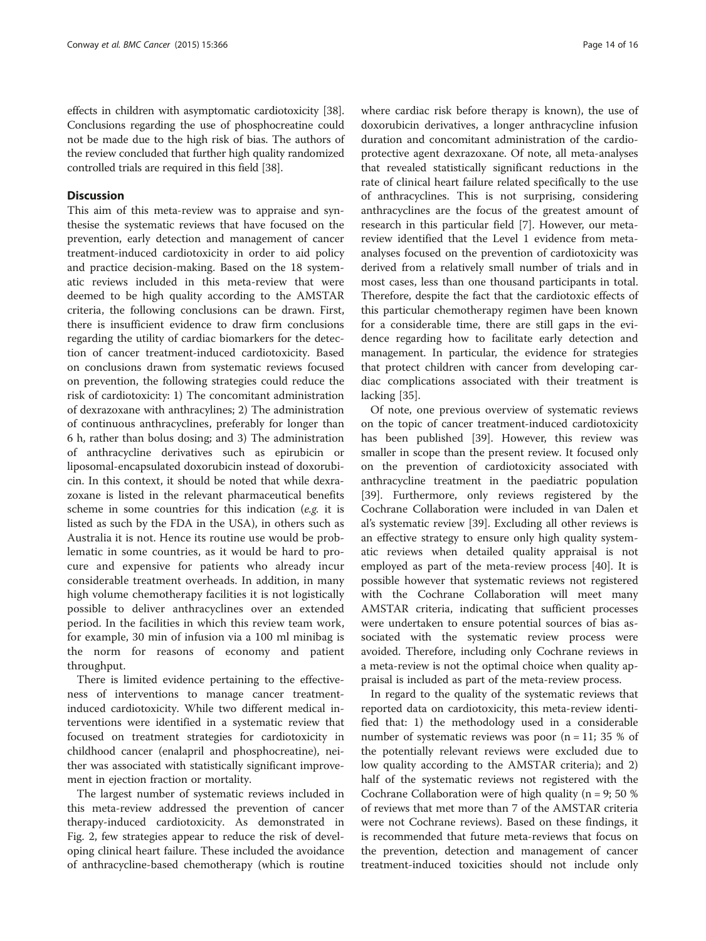effects in children with asymptomatic cardiotoxicity [[38](#page-15-0)]. Conclusions regarding the use of phosphocreatine could not be made due to the high risk of bias. The authors of the review concluded that further high quality randomized controlled trials are required in this field [\[38\]](#page-15-0).

## **Discussion**

This aim of this meta-review was to appraise and synthesise the systematic reviews that have focused on the prevention, early detection and management of cancer treatment-induced cardiotoxicity in order to aid policy and practice decision-making. Based on the 18 systematic reviews included in this meta-review that were deemed to be high quality according to the AMSTAR criteria, the following conclusions can be drawn. First, there is insufficient evidence to draw firm conclusions regarding the utility of cardiac biomarkers for the detection of cancer treatment-induced cardiotoxicity. Based on conclusions drawn from systematic reviews focused on prevention, the following strategies could reduce the risk of cardiotoxicity: 1) The concomitant administration of dexrazoxane with anthracylines; 2) The administration of continuous anthracyclines, preferably for longer than 6 h, rather than bolus dosing; and 3) The administration of anthracycline derivatives such as epirubicin or liposomal-encapsulated doxorubicin instead of doxorubicin. In this context, it should be noted that while dexrazoxane is listed in the relevant pharmaceutical benefits scheme in some countries for this indication (e.g. it is listed as such by the FDA in the USA), in others such as Australia it is not. Hence its routine use would be problematic in some countries, as it would be hard to procure and expensive for patients who already incur considerable treatment overheads. In addition, in many high volume chemotherapy facilities it is not logistically possible to deliver anthracyclines over an extended period. In the facilities in which this review team work, for example, 30 min of infusion via a 100 ml minibag is the norm for reasons of economy and patient throughput.

There is limited evidence pertaining to the effectiveness of interventions to manage cancer treatmentinduced cardiotoxicity. While two different medical interventions were identified in a systematic review that focused on treatment strategies for cardiotoxicity in childhood cancer (enalapril and phosphocreatine), neither was associated with statistically significant improvement in ejection fraction or mortality.

The largest number of systematic reviews included in this meta-review addressed the prevention of cancer therapy-induced cardiotoxicity. As demonstrated in Fig. [2,](#page-11-0) few strategies appear to reduce the risk of developing clinical heart failure. These included the avoidance of anthracycline-based chemotherapy (which is routine where cardiac risk before therapy is known), the use of doxorubicin derivatives, a longer anthracycline infusion duration and concomitant administration of the cardioprotective agent dexrazoxane. Of note, all meta-analyses that revealed statistically significant reductions in the rate of clinical heart failure related specifically to the use of anthracyclines. This is not surprising, considering anthracyclines are the focus of the greatest amount of research in this particular field [[7\]](#page-15-0). However, our metareview identified that the Level 1 evidence from metaanalyses focused on the prevention of cardiotoxicity was derived from a relatively small number of trials and in most cases, less than one thousand participants in total. Therefore, despite the fact that the cardiotoxic effects of this particular chemotherapy regimen have been known for a considerable time, there are still gaps in the evidence regarding how to facilitate early detection and management. In particular, the evidence for strategies that protect children with cancer from developing cardiac complications associated with their treatment is lacking [[35\]](#page-15-0).

Of note, one previous overview of systematic reviews on the topic of cancer treatment-induced cardiotoxicity has been published [\[39\]](#page-15-0). However, this review was smaller in scope than the present review. It focused only on the prevention of cardiotoxicity associated with anthracycline treatment in the paediatric population [[39\]](#page-15-0). Furthermore, only reviews registered by the Cochrane Collaboration were included in van Dalen et al's systematic review [[39](#page-15-0)]. Excluding all other reviews is an effective strategy to ensure only high quality systematic reviews when detailed quality appraisal is not employed as part of the meta-review process [\[40](#page-15-0)]. It is possible however that systematic reviews not registered with the Cochrane Collaboration will meet many AMSTAR criteria, indicating that sufficient processes were undertaken to ensure potential sources of bias associated with the systematic review process were avoided. Therefore, including only Cochrane reviews in a meta-review is not the optimal choice when quality appraisal is included as part of the meta-review process.

In regard to the quality of the systematic reviews that reported data on cardiotoxicity, this meta-review identified that: 1) the methodology used in a considerable number of systematic reviews was poor  $(n = 11; 35 \%)$  of the potentially relevant reviews were excluded due to low quality according to the AMSTAR criteria); and 2) half of the systematic reviews not registered with the Cochrane Collaboration were of high quality ( $n = 9$ ; 50 %) of reviews that met more than 7 of the AMSTAR criteria were not Cochrane reviews). Based on these findings, it is recommended that future meta-reviews that focus on the prevention, detection and management of cancer treatment-induced toxicities should not include only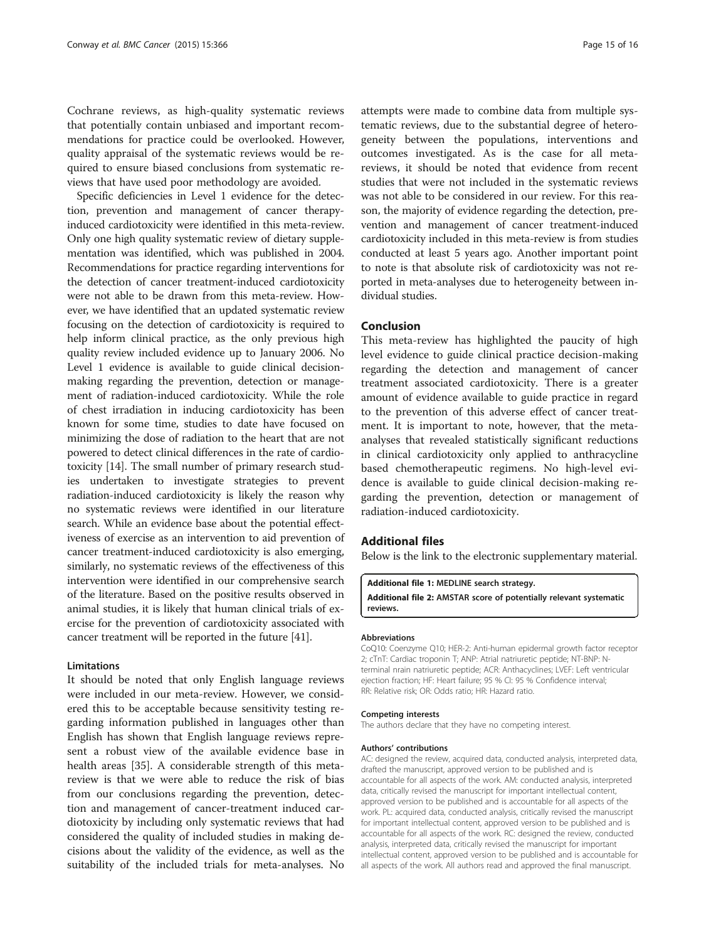<span id="page-14-0"></span>Cochrane reviews, as high-quality systematic reviews that potentially contain unbiased and important recommendations for practice could be overlooked. However, quality appraisal of the systematic reviews would be required to ensure biased conclusions from systematic reviews that have used poor methodology are avoided.

Specific deficiencies in Level 1 evidence for the detection, prevention and management of cancer therapyinduced cardiotoxicity were identified in this meta-review. Only one high quality systematic review of dietary supplementation was identified, which was published in 2004. Recommendations for practice regarding interventions for the detection of cancer treatment-induced cardiotoxicity were not able to be drawn from this meta-review. However, we have identified that an updated systematic review focusing on the detection of cardiotoxicity is required to help inform clinical practice, as the only previous high quality review included evidence up to January 2006. No Level 1 evidence is available to guide clinical decisionmaking regarding the prevention, detection or management of radiation-induced cardiotoxicity. While the role of chest irradiation in inducing cardiotoxicity has been known for some time, studies to date have focused on minimizing the dose of radiation to the heart that are not powered to detect clinical differences in the rate of cardiotoxicity [\[14\]](#page-15-0). The small number of primary research studies undertaken to investigate strategies to prevent radiation-induced cardiotoxicity is likely the reason why no systematic reviews were identified in our literature search. While an evidence base about the potential effectiveness of exercise as an intervention to aid prevention of cancer treatment-induced cardiotoxicity is also emerging, similarly, no systematic reviews of the effectiveness of this intervention were identified in our comprehensive search of the literature. Based on the positive results observed in animal studies, it is likely that human clinical trials of exercise for the prevention of cardiotoxicity associated with cancer treatment will be reported in the future [[41](#page-15-0)].

## Limitations

It should be noted that only English language reviews were included in our meta-review. However, we considered this to be acceptable because sensitivity testing regarding information published in languages other than English has shown that English language reviews represent a robust view of the available evidence base in health areas [[35](#page-15-0)]. A considerable strength of this metareview is that we were able to reduce the risk of bias from our conclusions regarding the prevention, detection and management of cancer-treatment induced cardiotoxicity by including only systematic reviews that had considered the quality of included studies in making decisions about the validity of the evidence, as well as the suitability of the included trials for meta-analyses. No

attempts were made to combine data from multiple systematic reviews, due to the substantial degree of heterogeneity between the populations, interventions and outcomes investigated. As is the case for all metareviews, it should be noted that evidence from recent studies that were not included in the systematic reviews was not able to be considered in our review. For this reason, the majority of evidence regarding the detection, prevention and management of cancer treatment-induced cardiotoxicity included in this meta-review is from studies conducted at least 5 years ago. Another important point to note is that absolute risk of cardiotoxicity was not reported in meta-analyses due to heterogeneity between individual studies.

## Conclusion

This meta-review has highlighted the paucity of high level evidence to guide clinical practice decision-making regarding the detection and management of cancer treatment associated cardiotoxicity. There is a greater amount of evidence available to guide practice in regard to the prevention of this adverse effect of cancer treatment. It is important to note, however, that the metaanalyses that revealed statistically significant reductions in clinical cardiotoxicity only applied to anthracycline based chemotherapeutic regimens. No high-level evidence is available to guide clinical decision-making regarding the prevention, detection or management of radiation-induced cardiotoxicity.

#### Additional files

Below is the link to the electronic supplementary material.

[Additional file 1:](http://www.biomedcentral.com/content/supplementary/s12885-015-1407-6-s1.docx) MEDLINE search strategy. [Additional file 2:](http://www.biomedcentral.com/content/supplementary/s12885-015-1407-6-s2.docx) AMSTAR score of potentially relevant systematic reviews.

#### Abbreviations

CoQ10: Coenzyme Q10; HER-2: Anti-human epidermal growth factor receptor 2; cTnT: Cardiac troponin T; ANP: Atrial natriuretic peptide; NT-BNP: Nterminal nrain natriuretic peptide; ACR: Anthacyclines; LVEF: Left ventricular ejection fraction; HF: Heart failure; 95 % CI: 95 % Confidence interval; RR: Relative risk; OR: Odds ratio; HR: Hazard ratio.

#### Competing interests

The authors declare that they have no competing interest.

#### Authors' contributions

AC: designed the review, acquired data, conducted analysis, interpreted data, drafted the manuscript, approved version to be published and is accountable for all aspects of the work. AM: conducted analysis, interpreted data, critically revised the manuscript for important intellectual content, approved version to be published and is accountable for all aspects of the work. PL: acquired data, conducted analysis, critically revised the manuscript for important intellectual content, approved version to be published and is accountable for all aspects of the work. RC: designed the review, conducted analysis, interpreted data, critically revised the manuscript for important intellectual content, approved version to be published and is accountable for all aspects of the work. All authors read and approved the final manuscript.